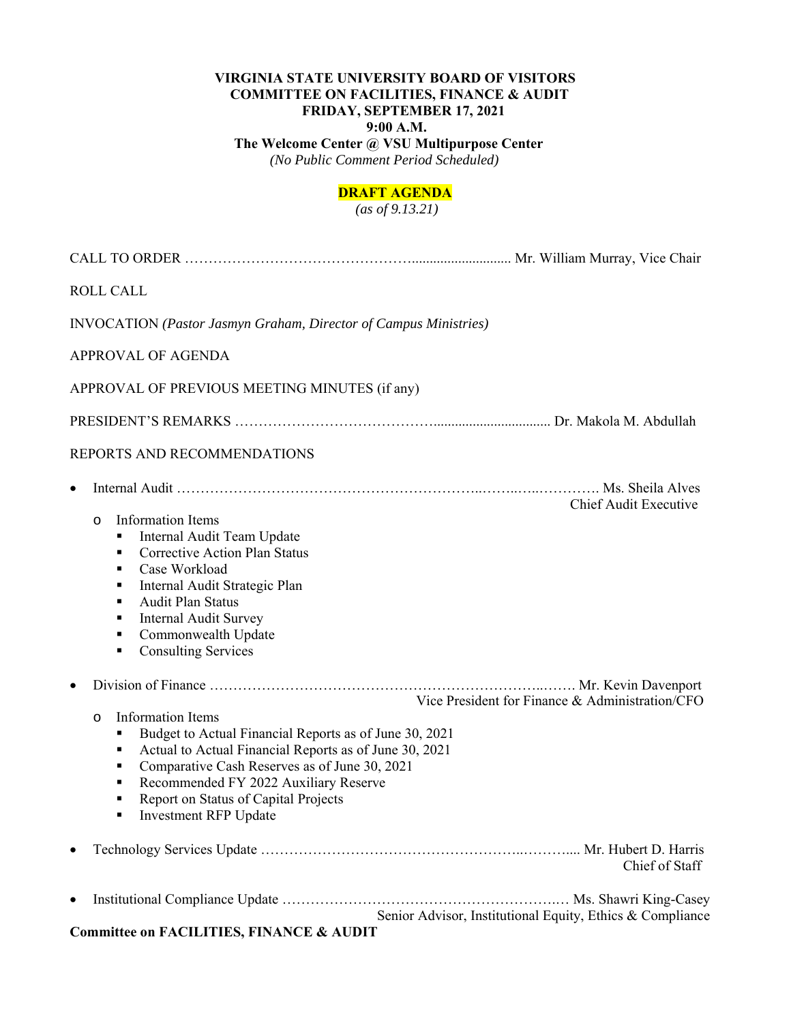## **VIRGINIA STATE UNIVERSITY BOARD OF VISITORS COMMITTEE ON FACILITIES, FINANCE & AUDIT FRIDAY, SEPTEMBER 17, 2021 9:00 A.M.**

 **The Welcome Center @ VSU Multipurpose Center**   *(No Public Comment Period Scheduled)* 

## **DRAFT AGENDA**

 *(as of 9.13.21)* 

| <b>ROLL CALL</b>                                                                                                                                                                                                                                                                                                                                                     |                                                           |
|----------------------------------------------------------------------------------------------------------------------------------------------------------------------------------------------------------------------------------------------------------------------------------------------------------------------------------------------------------------------|-----------------------------------------------------------|
| <b>INVOCATION</b> (Pastor Jasmyn Graham, Director of Campus Ministries)                                                                                                                                                                                                                                                                                              |                                                           |
| APPROVAL OF AGENDA                                                                                                                                                                                                                                                                                                                                                   |                                                           |
| APPROVAL OF PREVIOUS MEETING MINUTES (if any)                                                                                                                                                                                                                                                                                                                        |                                                           |
|                                                                                                                                                                                                                                                                                                                                                                      |                                                           |
| REPORTS AND RECOMMENDATIONS                                                                                                                                                                                                                                                                                                                                          |                                                           |
| $\bullet$<br>Information Items<br>$\circ$<br>Internal Audit Team Update<br>٠<br><b>Corrective Action Plan Status</b><br>٠<br>Case Workload<br>٠<br>Internal Audit Strategic Plan<br>٠<br><b>Audit Plan Status</b><br>٠<br><b>Internal Audit Survey</b><br>٠<br>Commonwealth Update<br>٠<br><b>Consulting Services</b><br>٠                                           | <b>Chief Audit Executive</b>                              |
| $\bullet$<br><b>Information Items</b><br>$\circ$<br>Budget to Actual Financial Reports as of June 30, 2021<br>٠<br>Actual to Actual Financial Reports as of June 30, 2021<br>٠<br>Comparative Cash Reserves as of June 30, 2021<br>٠<br>Recommended FY 2022 Auxiliary Reserve<br>٠<br>Report on Status of Capital Projects<br>٠<br><b>Investment RFP Update</b><br>٠ | Vice President for Finance & Administration/CFO           |
|                                                                                                                                                                                                                                                                                                                                                                      | Chief of Staff                                            |
| $\bullet$<br><b>Committee on FACILITIES, FINANCE &amp; AUDIT</b>                                                                                                                                                                                                                                                                                                     | Senior Advisor, Institutional Equity, Ethics & Compliance |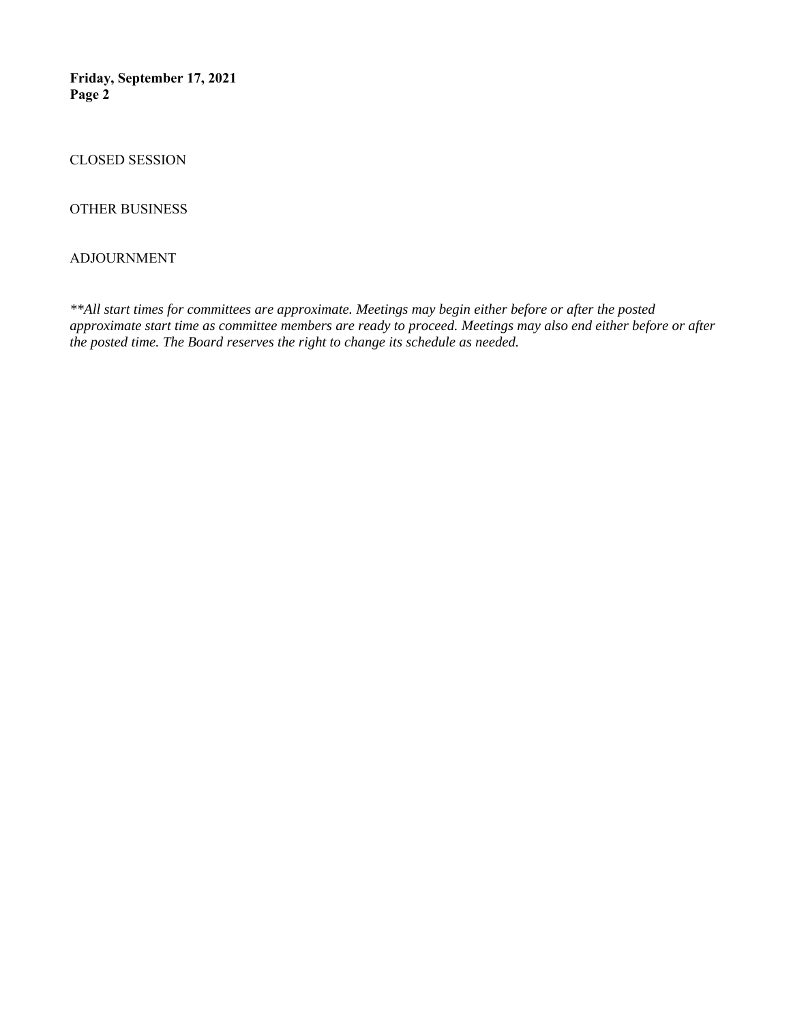**Friday, September 17, 2021 Page 2** 

CLOSED SESSION

OTHER BUSINESS

#### ADJOURNMENT

*\*\*All start times for committees are approximate. Meetings may begin either before or after the posted approximate start time as committee members are ready to proceed. Meetings may also end either before or after the posted time. The Board reserves the right to change its schedule as needed.*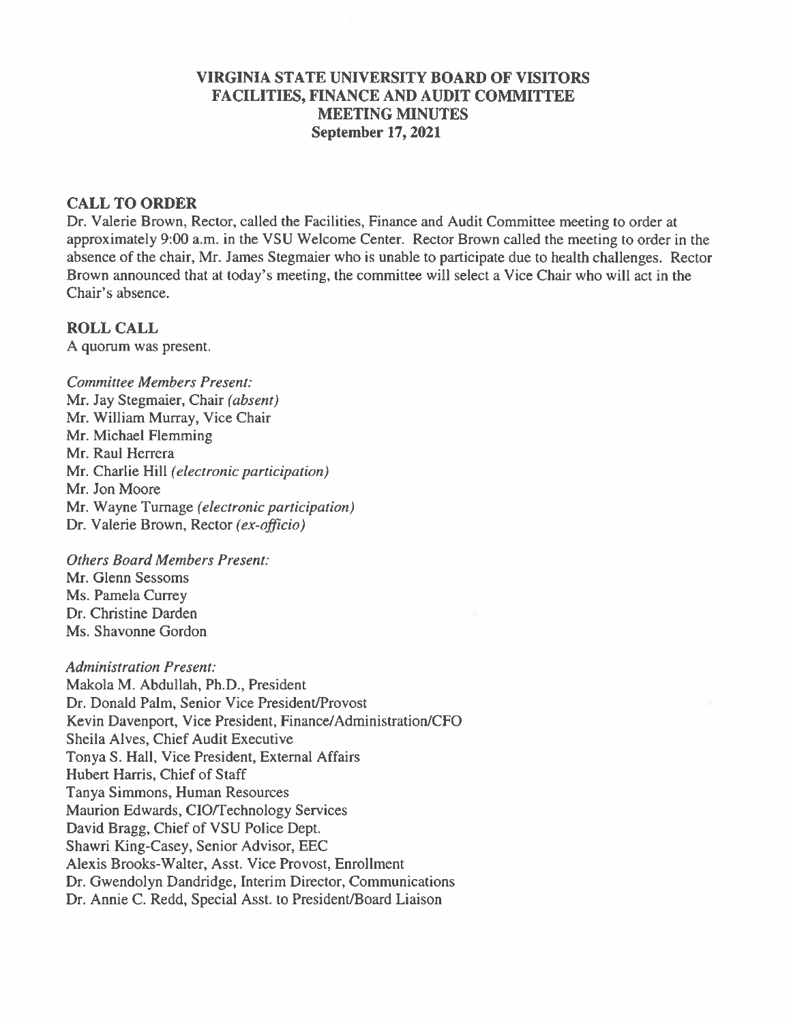### **VIRGINIA STATE UNIVERSITY BOARD OF VISITORS FACILITIES, FINANCE AND AUDIT COMMITTEE MEETING MINUTES September 17, 2021**

#### **CALL TO ORDER**

Dr. Valerie Brown, Rector, called the Facilities, Finance and Audit Committee meeting to order at approximately 9:00 a.m. in the VSU Welcome Center. Rector Brown called the meeting to order in the absence of the chair, Mr. James Stegmaier who is unable to participate due to health challenges. Rector Brown announced that at today's meeting, the committee will select a Vice Chair who will act in the Chair's absence.

**ROLL CALL** A quorum was present.

**Committee Members Present:** Mr. Jay Stegmaier, Chair (absent) Mr. William Murray, Vice Chair Mr. Michael Flemming Mr. Raul Herrera Mr. Charlie Hill (electronic participation) Mr. Jon Moore Mr. Wayne Turnage (electronic participation) Dr. Valerie Brown, Rector (ex-officio)

**Others Board Members Present:** Mr. Glenn Sessoms Ms. Pamela Currey Dr. Christine Darden Ms. Shavonne Gordon

**Administration Present:** Makola M. Abdullah, Ph.D., President Dr. Donald Palm, Senior Vice President/Provost Kevin Davenport, Vice President, Finance/Administration/CFO Sheila Alves, Chief Audit Executive Tonya S. Hall, Vice President, External Affairs Hubert Harris, Chief of Staff Tanya Simmons, Human Resources Maurion Edwards, CIO/Technology Services David Bragg, Chief of VSU Police Dept. Shawri King-Casey, Senior Advisor, EEC Alexis Brooks-Walter, Asst. Vice Provost, Enrollment Dr. Gwendolyn Dandridge, Interim Director, Communications Dr. Annie C. Redd, Special Asst. to President/Board Liaison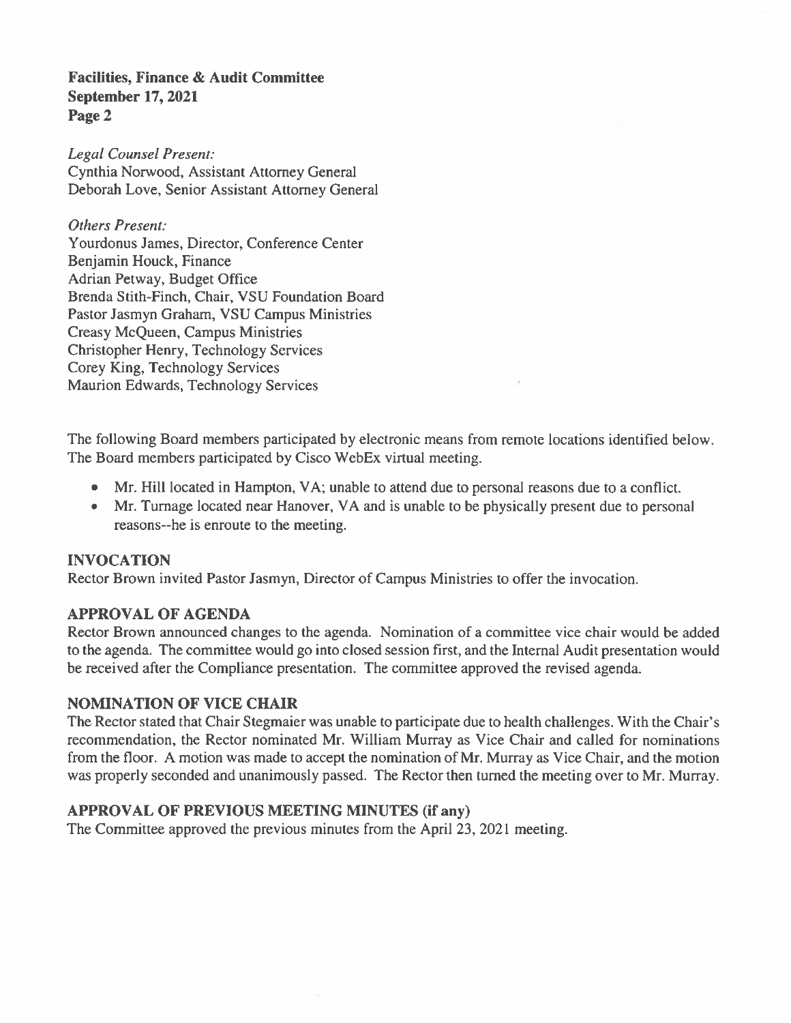### **Facilities, Finance & Audit Committee September 17, 2021** Page 2

**Legal Counsel Present:** Cynthia Norwood, Assistant Attorney General Deborah Love, Senior Assistant Attorney General

**Others Present:** Yourdonus James, Director, Conference Center Benjamin Houck, Finance Adrian Petway, Budget Office Brenda Stith-Finch, Chair, VSU Foundation Board Pastor Jasmyn Graham, VSU Campus Ministries **Creasy McQueen, Campus Ministries** Christopher Henry, Technology Services Corey King, Technology Services Maurion Edwards, Technology Services

The following Board members participated by electronic means from remote locations identified below. The Board members participated by Cisco WebEx virtual meeting.

- Mr. Hill located in Hampton, VA; unable to attend due to personal reasons due to a conflict.
- Mr. Turnage located near Hanover, VA and is unable to be physically present due to personal  $\bullet$ reasons--he is enroute to the meeting.

## **INVOCATION**

Rector Brown invited Pastor Jasmyn, Director of Campus Ministries to offer the invocation.

## **APPROVAL OF AGENDA**

Rector Brown announced changes to the agenda. Nomination of a committee vice chair would be added to the agenda. The committee would go into closed session first, and the Internal Audit presentation would be received after the Compliance presentation. The committee approved the revised agenda.

## **NOMINATION OF VICE CHAIR**

The Rector stated that Chair Stegmaier was unable to participate due to health challenges. With the Chair's recommendation, the Rector nominated Mr. William Murray as Vice Chair and called for nominations from the floor. A motion was made to accept the nomination of Mr. Murray as Vice Chair, and the motion was properly seconded and unanimously passed. The Rector then turned the meeting over to Mr. Murray.

## **APPROVAL OF PREVIOUS MEETING MINUTES (if any)**

The Committee approved the previous minutes from the April 23, 2021 meeting.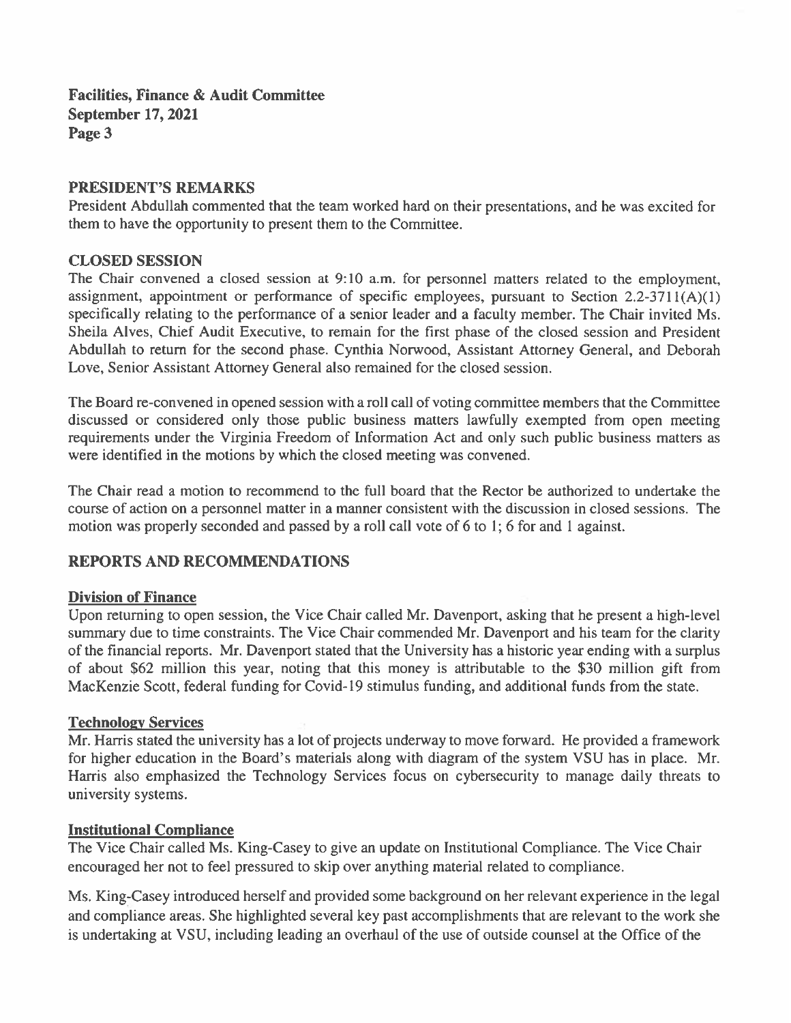**Facilities, Finance & Audit Committee September 17, 2021** Page 3

### **PRESIDENT'S REMARKS**

President Abdullah commented that the team worked hard on their presentations, and he was excited for them to have the opportunity to present them to the Committee.

### **CLOSED SESSION**

The Chair convened a closed session at 9:10 a.m. for personnel matters related to the employment, assignment, appointment or performance of specific employees, pursuant to Section  $2.2\n-3711(A)(1)$ specifically relating to the performance of a senior leader and a faculty member. The Chair invited Ms. Sheila Alves, Chief Audit Executive, to remain for the first phase of the closed session and President Abdullah to return for the second phase. Cynthia Norwood, Assistant Attorney General, and Deborah Love, Senior Assistant Attorney General also remained for the closed session.

The Board re-convened in opened session with a roll call of voting committee members that the Committee discussed or considered only those public business matters lawfully exempted from open meeting requirements under the Virginia Freedom of Information Act and only such public business matters as were identified in the motions by which the closed meeting was convened.

The Chair read a motion to recommend to the full board that the Rector be authorized to undertake the course of action on a personnel matter in a manner consistent with the discussion in closed sessions. The motion was properly seconded and passed by a roll call vote of 6 to 1; 6 for and 1 against.

## **REPORTS AND RECOMMENDATIONS**

### **Division of Finance**

Upon returning to open session, the Vice Chair called Mr. Davenport, asking that he present a high-level summary due to time constraints. The Vice Chair commended Mr. Davenport and his team for the clarity of the financial reports. Mr. Davenport stated that the University has a historic year ending with a surplus of about \$62 million this year, noting that this money is attributable to the \$30 million gift from MacKenzie Scott, federal funding for Covid-19 stimulus funding, and additional funds from the state.

### **Technology Services**

Mr. Harris stated the university has a lot of projects underway to move forward. He provided a framework for higher education in the Board's materials along with diagram of the system VSU has in place. Mr. Harris also emphasized the Technology Services focus on cybersecurity to manage daily threats to university systems.

### **Institutional Compliance**

The Vice Chair called Ms. King-Casey to give an update on Institutional Compliance. The Vice Chair encouraged her not to feel pressured to skip over anything material related to compliance.

Ms. King-Casey introduced herself and provided some background on her relevant experience in the legal and compliance areas. She highlighted several key past accomplishments that are relevant to the work she is undertaking at VSU, including leading an overhaul of the use of outside counsel at the Office of the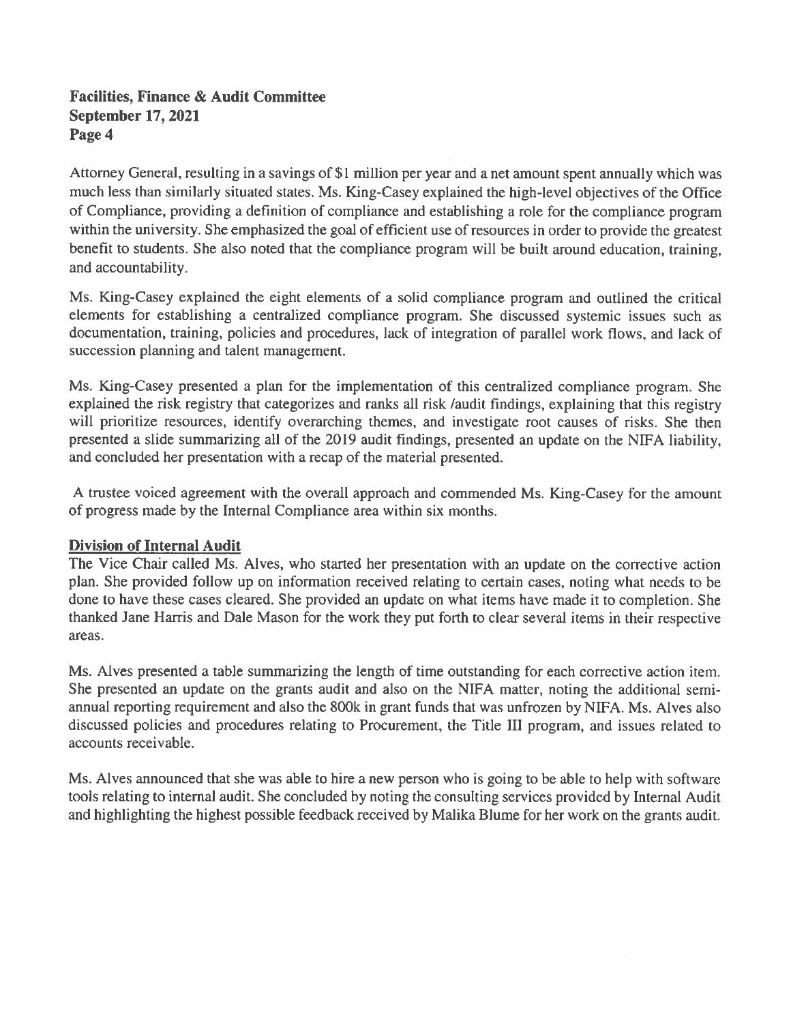# **Facilities, Finance & Audit Committee September 17, 2021** Page 4

Attorney General, resulting in a savings of \$1 million per year and a net amount spent annually which was much less than similarly situated states. Ms. King-Casey explained the high-level objectives of the Office of Compliance, providing a definition of compliance and establishing a role for the compliance program within the university. She emphasized the goal of efficient use of resources in order to provide the greatest benefit to students. She also noted that the compliance program will be built around education, training, and accountability.

Ms. King-Casey explained the eight elements of a solid compliance program and outlined the critical elements for establishing a centralized compliance program. She discussed systemic issues such as documentation, training, policies and procedures, lack of integration of parallel work flows, and lack of succession planning and talent management.

Ms. King-Casey presented a plan for the implementation of this centralized compliance program. She explained the risk registry that categorizes and ranks all risk /audit findings, explaining that this registry will prioritize resources, identify overarching themes, and investigate root causes of risks. She then presented a slide summarizing all of the 2019 audit findings, presented an update on the NIFA liability, and concluded her presentation with a recap of the material presented.

A trustee voiced agreement with the overall approach and commended Ms. King-Casey for the amount of progress made by the Internal Compliance area within six months.

## **Division of Internal Audit**

The Vice Chair called Ms. Alves, who started her presentation with an update on the corrective action plan. She provided follow up on information received relating to certain cases, noting what needs to be done to have these cases cleared. She provided an update on what items have made it to completion. She thanked Jane Harris and Dale Mason for the work they put forth to clear several items in their respective areas.

Ms. Alves presented a table summarizing the length of time outstanding for each corrective action item. She presented an update on the grants audit and also on the NIFA matter, noting the additional semiannual reporting requirement and also the 800k in grant funds that was unfrozen by NIFA. Ms. Alves also discussed policies and procedures relating to Procurement, the Title III program, and issues related to accounts receivable.

Ms. Alves announced that she was able to hire a new person who is going to be able to help with software tools relating to internal audit. She concluded by noting the consulting services provided by Internal Audit and highlighting the highest possible feedback received by Malika Blume for her work on the grants audit.